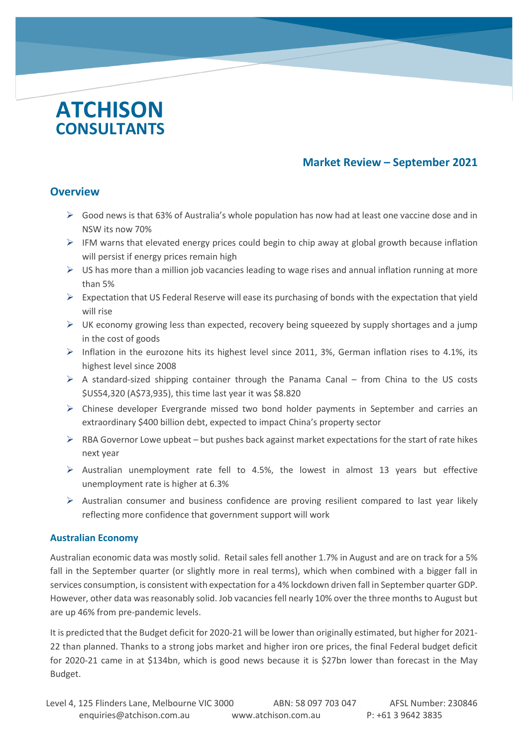# **ATCHISON CONSULTANTS**

# **Market Review – September 2021**

# **Overview**

c

- $\triangleright$  Good news is that 63% of Australia's whole population has now had at least one vaccine dose and in NSW its now 70%
- ➢ IFM warns that elevated energy prices could begin to chip away at global growth because inflation will persist if energy prices remain high
- $\triangleright$  US has more than a million job vacancies leading to wage rises and annual inflation running at more than 5%
- $\triangleright$  Expectation that US Federal Reserve will ease its purchasing of bonds with the expectation that yield will rise
- $\triangleright$  UK economy growing less than expected, recovery being squeezed by supply shortages and a jump in the cost of goods
- $\triangleright$  Inflation in the eurozone hits its highest level since 2011, 3%, German inflation rises to 4.1%, its highest level since 2008
- $\triangleright$  A standard-sized shipping container through the Panama Canal from China to the US costs \$US54,320 (A\$73,935), this time last year it was \$8.820
- ➢ Chinese developer Evergrande missed two bond holder payments in September and carries an extraordinary \$400 billion debt, expected to impact China's property sector
- $\triangleright$  RBA Governor Lowe upbeat but pushes back against market expectations for the start of rate hikes next year
- $\triangleright$  Australian unemployment rate fell to 4.5%, the lowest in almost 13 years but effective unemployment rate is higher at 6.3%
- $\triangleright$  Australian consumer and business confidence are proving resilient compared to last year likely reflecting more confidence that government support will work

# **Australian Economy**

Australian economic data was mostly solid. Retail sales fell another 1.7% in August and are on track for a 5% fall in the September quarter (or slightly more in real terms), which when combined with a bigger fall in services consumption, is consistent with expectation for a 4% lockdown driven fall in September quarter GDP. However, other data was reasonably solid. Job vacancies fell nearly 10% over the three months to August but are up 46% from pre-pandemic levels.

It is predicted that the Budget deficit for 2020-21 will be lower than originally estimated, but higher for 2021- 22 than planned. Thanks to a strong jobs market and higher iron ore prices, the final Federal budget deficit for 2020-21 came in at \$134bn, which is good news because it is \$27bn lower than forecast in the May Budget.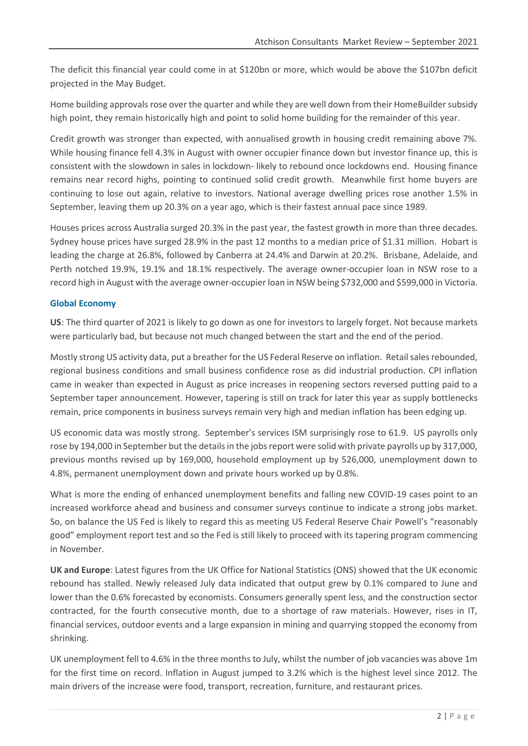The deficit this financial year could come in at \$120bn or more, which would be above the \$107bn deficit projected in the May Budget.

Home building approvals rose over the quarter and while they are well down from their HomeBuilder subsidy high point, they remain historically high and point to solid home building for the remainder of this year.

Credit growth was stronger than expected, with annualised growth in housing credit remaining above 7%. While housing finance fell 4.3% in August with owner occupier finance down but investor finance up, this is consistent with the slowdown in sales in lockdown- likely to rebound once lockdowns end. Housing finance remains near record highs, pointing to continued solid credit growth. Meanwhile first home buyers are continuing to lose out again, relative to investors. National average dwelling prices rose another 1.5% in September, leaving them up 20.3% on a year ago, which is their fastest annual pace since 1989.

Houses prices across Australia surged 20.3% in the past year, the fastest growth in more than three decades. Sydney house prices have surged 28.9% in the past 12 months to a median price of \$1.31 million. Hobart is leading the charge at 26.8%, followed by Canberra at 24.4% and Darwin at 20.2%. Brisbane, Adelaide, and Perth notched 19.9%, 19.1% and 18.1% respectively. The average owner-occupier loan in NSW rose to a record high in August with the average owner-occupier loan in NSW being \$732,000 and \$599,000 in Victoria.

#### **Global Economy**

**US**: The third quarter of 2021 is likely to go down as one for investors to largely forget. Not because markets were particularly bad, but because not much changed between the start and the end of the period.

Mostly strong US activity data, put a breather for the US Federal Reserve on inflation. Retail sales rebounded, regional business conditions and small business confidence rose as did industrial production. CPI inflation came in weaker than expected in August as price increases in reopening sectors reversed putting paid to a September taper announcement. However, tapering is still on track for later this year as supply bottlenecks remain, price components in business surveys remain very high and median inflation has been edging up.

US economic data was mostly strong. September's services ISM surprisingly rose to 61.9. US payrolls only rose by 194,000 in September but the details in the jobs report were solid with private payrolls up by 317,000, previous months revised up by 169,000, household employment up by 526,000, unemployment down to 4.8%, permanent unemployment down and private hours worked up by 0.8%.

What is more the ending of enhanced unemployment benefits and falling new COVID-19 cases point to an increased workforce ahead and business and consumer surveys continue to indicate a strong jobs market. So, on balance the US Fed is likely to regard this as meeting US Federal Reserve Chair Powell's "reasonably good" employment report test and so the Fed is still likely to proceed with its tapering program commencing in November.

**UK and Europe**: Latest figures from the UK Office for National Statistics (ONS) showed that the UK economic rebound has stalled. Newly released July data indicated that output grew by 0.1% compared to June and lower than the 0.6% forecasted by economists. Consumers generally spent less, and the construction sector contracted, for the fourth consecutive month, due to a shortage of raw materials. However, rises in IT, financial services, outdoor events and a large expansion in mining and quarrying stopped the economy from shrinking.

UK unemployment fell to 4.6% in the three months to July, whilst the number of job vacancies was above 1m for the first time on record. Inflation in August jumped to 3.2% which is the highest level since 2012. The main drivers of the increase were food, transport, recreation, furniture, and restaurant prices.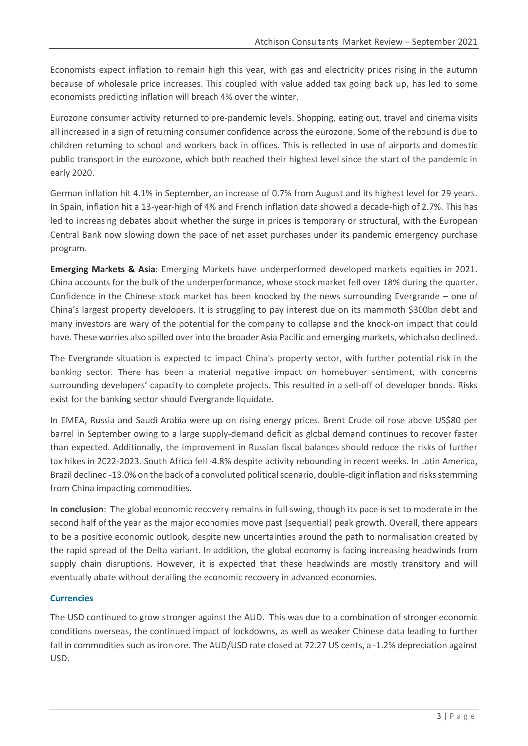Economists expect inflation to remain high this year, with gas and electricity prices rising in the autumn because of wholesale price increases. This coupled with value added tax going back up, has led to some economists predicting inflation will breach 4% over the winter.

Eurozone consumer activity returned to pre-pandemic levels. Shopping, eating out, travel and cinema visits all increased in a sign of returning consumer confidence across the eurozone. Some of the rebound is due to children returning to school and workers back in offices. This is reflected in use of airports and domestic public transport in the eurozone, which both reached their highest level since the start of the pandemic in early 2020.

German inflation hit 4.1% in September, an increase of 0.7% from August and its highest level for 29 years. In Spain, inflation hit a 13-year-high of 4% and French inflation data showed a decade-high of 2.7%. This has led to increasing debates about whether the surge in prices is temporary or structural, with the European Central Bank now slowing down the pace of net asset purchases under its pandemic emergency purchase program.

**Emerging Markets & Asia**: Emerging Markets have underperformed developed markets equities in 2021. China accounts for the bulk of the underperformance, whose stock market fell over 18% during the quarter. Confidence in the Chinese stock market has been knocked by the news surrounding Evergrande – one of China's largest property developers. It is struggling to pay interest due on its mammoth \$300bn debt and many investors are wary of the potential for the company to collapse and the knock-on impact that could have. These worries also spilled over into the broader Asia Pacific and emerging markets, which also declined.

The Evergrande situation is expected to impact China's property sector, with further potential risk in the banking sector. There has been a material negative impact on homebuyer sentiment, with concerns surrounding developers' capacity to complete projects. This resulted in a sell-off of developer bonds. Risks exist for the banking sector should Evergrande liquidate.

In EMEA, Russia and Saudi Arabia were up on rising energy prices. Brent Crude oil rose above US\$80 per barrel in September owing to a large supply-demand deficit as global demand continues to recover faster than expected. Additionally, the improvement in Russian fiscal balances should reduce the risks of further tax hikes in 2022-2023. South Africa fell -4.8% despite activity rebounding in recent weeks. In Latin America, Brazil declined -13.0% on the back of a convoluted political scenario, double-digit inflation and risks stemming from China impacting commodities.

**In conclusion**: The global economic recovery remains in full swing, though its pace is set to moderate in the second half of the year as the major economies move past (sequential) peak growth. Overall, there appears to be a positive economic outlook, despite new uncertainties around the path to normalisation created by the rapid spread of the Delta variant. In addition, the global economy is facing increasing headwinds from supply chain disruptions. However, it is expected that these headwinds are mostly transitory and will eventually abate without derailing the economic recovery in advanced economies.

#### **Currencies**

The USD continued to grow stronger against the AUD. This was due to a combination of stronger economic conditions overseas, the continued impact of lockdowns, as well as weaker Chinese data leading to further fall in commodities such as iron ore. The AUD/USD rate closed at 72.27 US cents, a -1.2% depreciation against USD.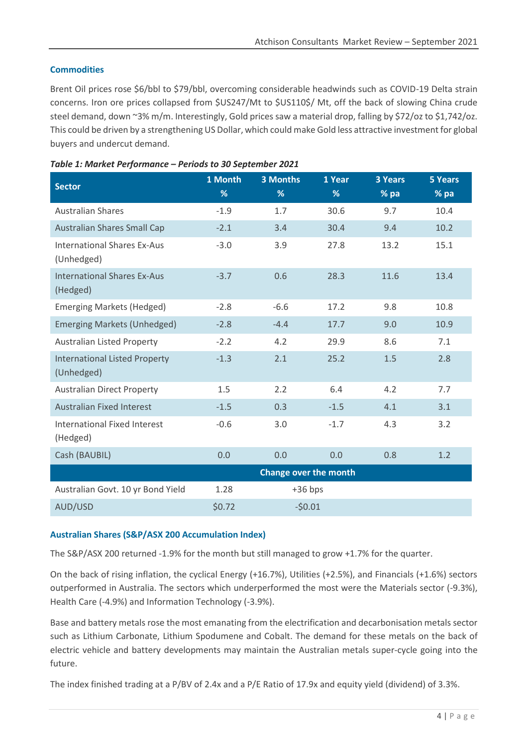## **Commodities**

Brent Oil prices rose \$6/bbl to \$79/bbl, overcoming considerable headwinds such as COVID-19 Delta strain concerns. Iron ore prices collapsed from \$US247/Mt to \$US110\$/ Mt, off the back of slowing China crude steel demand, down ~3% m/m. Interestingly, Gold prices saw a material drop, falling by \$72/oz to \$1,742/oz. This could be driven by a strengthening US Dollar, which could make Gold less attractive investment for global buyers and undercut demand.

| <b>Sector</b>                                      | 1 Month<br>%          | <b>3 Months</b><br>% | 1 Year<br>% | <b>3 Years</b><br>% pa | <b>5 Years</b><br>% pa |
|----------------------------------------------------|-----------------------|----------------------|-------------|------------------------|------------------------|
| <b>Australian Shares</b>                           | $-1.9$                | 1.7                  | 30.6        | 9.7                    | 10.4                   |
| <b>Australian Shares Small Cap</b>                 | $-2.1$                | 3.4                  | 30.4        | 9.4                    | 10.2                   |
| <b>International Shares Ex-Aus</b><br>(Unhedged)   | $-3.0$                | 3.9                  | 27.8        | 13.2                   | 15.1                   |
| <b>International Shares Ex-Aus</b><br>(Hedged)     | $-3.7$                | 0.6                  | 28.3        | 11.6                   | 13.4                   |
| <b>Emerging Markets (Hedged)</b>                   | $-2.8$                | $-6.6$               | 17.2        | 9.8                    | 10.8                   |
| <b>Emerging Markets (Unhedged)</b>                 | $-2.8$                | $-4.4$               | 17.7        | 9.0                    | 10.9                   |
| <b>Australian Listed Property</b>                  | $-2.2$                | 4.2                  | 29.9        | 8.6                    | 7.1                    |
| <b>International Listed Property</b><br>(Unhedged) | $-1.3$                | 2.1                  | 25.2        | 1.5                    | 2.8                    |
| <b>Australian Direct Property</b>                  | 1.5                   | 2.2                  | 6.4         | 4.2                    | 7.7                    |
| <b>Australian Fixed Interest</b>                   | $-1.5$                | 0.3                  | $-1.5$      | 4.1                    | 3.1                    |
| <b>International Fixed Interest</b><br>(Hedged)    | $-0.6$                | 3.0                  | $-1.7$      | 4.3                    | 3.2                    |
| Cash (BAUBIL)                                      | 0.0                   | 0.0                  | 0.0         | 0.8                    | 1.2                    |
|                                                    | Change over the month |                      |             |                        |                        |
| Australian Govt. 10 yr Bond Yield                  | 1.28                  | $+36$ bps            |             |                        |                        |
| AUD/USD                                            | \$0.72                | $-50.01$             |             |                        |                        |

### *Table 1: Market Performance – Periods to 30 September 2021*

## **Australian Shares (S&P/ASX 200 Accumulation Index)**

The S&P/ASX 200 returned -1.9% for the month but still managed to grow +1.7% for the quarter.

On the back of rising inflation, the cyclical Energy (+16.7%), Utilities (+2.5%), and Financials (+1.6%) sectors outperformed in Australia. The sectors which underperformed the most were the Materials sector (-9.3%), Health Care (-4.9%) and Information Technology (-3.9%).

Base and battery metals rose the most emanating from the electrification and decarbonisation metals sector such as Lithium Carbonate, Lithium Spodumene and Cobalt. The demand for these metals on the back of electric vehicle and battery developments may maintain the Australian metals super-cycle going into the future.

The index finished trading at a P/BV of 2.4x and a P/E Ratio of 17.9x and equity yield (dividend) of 3.3%.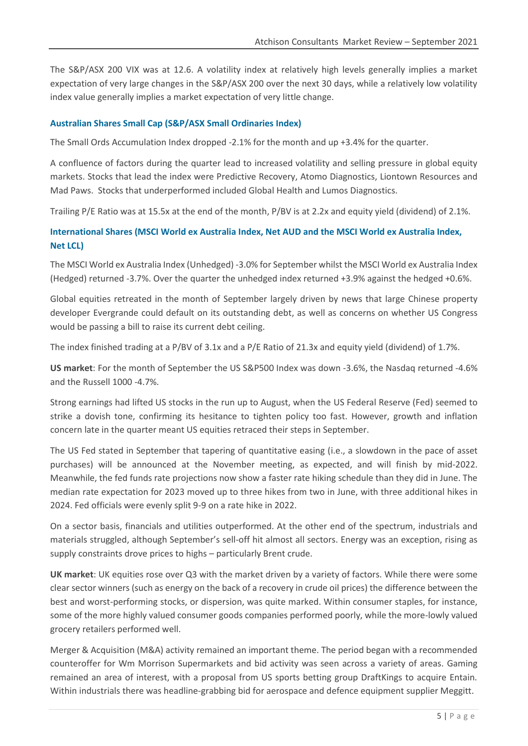The S&P/ASX 200 VIX was at 12.6. A volatility index at relatively high levels generally implies a market expectation of very large changes in the S&P/ASX 200 over the next 30 days, while a relatively low volatility index value generally implies a market expectation of very little change.

#### **Australian Shares Small Cap (S&P/ASX Small Ordinaries Index)**

The Small Ords Accumulation Index dropped -2.1% for the month and up +3.4% for the quarter.

A confluence of factors during the quarter lead to increased volatility and selling pressure in global equity markets. Stocks that lead the index were Predictive Recovery, Atomo Diagnostics, Liontown Resources and Mad Paws. Stocks that underperformed included Global Health and Lumos Diagnostics.

Trailing P/E Ratio was at 15.5x at the end of the month, P/BV is at 2.2x and equity yield (dividend) of 2.1%.

# **International Shares (MSCI World ex Australia Index, Net AUD and the MSCI World ex Australia Index, Net LCL)**

The MSCI World ex Australia Index (Unhedged) -3.0% for September whilst the MSCI World ex Australia Index (Hedged) returned -3.7%. Over the quarter the unhedged index returned +3.9% against the hedged +0.6%.

Global equities retreated in the month of September largely driven by news that large Chinese property developer Evergrande could default on its outstanding debt, as well as concerns on whether US Congress would be passing a bill to raise its current debt ceiling.

The index finished trading at a P/BV of 3.1x and a P/E Ratio of 21.3x and equity yield (dividend) of 1.7%.

**US market**: For the month of September the US S&P500 Index was down -3.6%, the Nasdaq returned -4.6% and the Russell 1000 -4.7%.

Strong earnings had lifted US stocks in the run up to August, when the US Federal Reserve (Fed) seemed to strike a dovish tone, confirming its hesitance to tighten policy too fast. However, growth and inflation concern late in the quarter meant US equities retraced their steps in September.

The US Fed stated in September that tapering of quantitative easing (i.e., a slowdown in the pace of asset purchases) will be announced at the November meeting, as expected, and will finish by mid-2022. Meanwhile, the fed funds rate projections now show a faster rate hiking schedule than they did in June. The median rate expectation for 2023 moved up to three hikes from two in June, with three additional hikes in 2024. Fed officials were evenly split 9-9 on a rate hike in 2022.

On a sector basis, financials and utilities outperformed. At the other end of the spectrum, industrials and materials struggled, although September's sell-off hit almost all sectors. Energy was an exception, rising as supply constraints drove prices to highs – particularly Brent crude.

**UK market**: UK equities rose over Q3 with the market driven by a variety of factors. While there were some clear sector winners (such as energy on the back of a recovery in crude oil prices) the difference between the best and worst-performing stocks, or dispersion, was quite marked. Within consumer staples, for instance, some of the more highly valued consumer goods companies performed poorly, while the more-lowly valued grocery retailers performed well.

Merger & Acquisition (M&A) activity remained an important theme. The period began with a recommended counteroffer for Wm Morrison Supermarkets and bid activity was seen across a variety of areas. Gaming remained an area of interest, with a proposal from US sports betting group DraftKings to acquire Entain. Within industrials there was headline-grabbing bid for aerospace and defence equipment supplier Meggitt.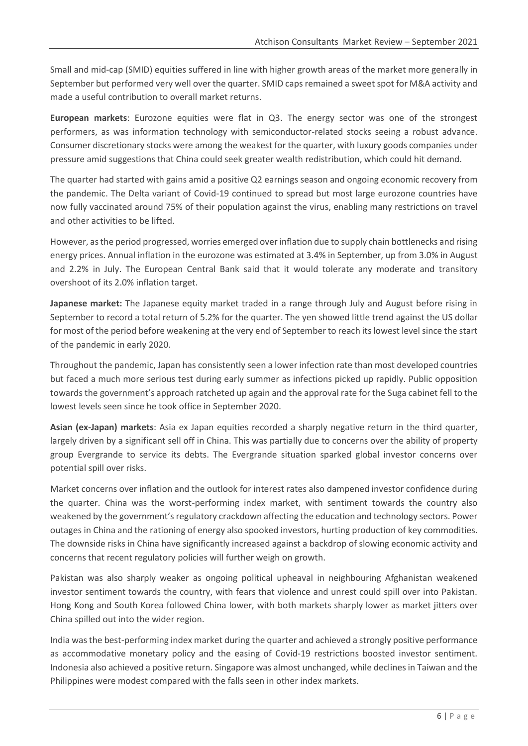Small and mid-cap (SMID) equities suffered in line with higher growth areas of the market more generally in September but performed very well over the quarter. SMID caps remained a sweet spot for M&A activity and made a useful contribution to overall market returns.

**European markets**: Eurozone equities were flat in Q3. The energy sector was one of the strongest performers, as was information technology with semiconductor-related stocks seeing a robust advance. Consumer discretionary stocks were among the weakest for the quarter, with luxury goods companies under pressure amid suggestions that China could seek greater wealth redistribution, which could hit demand.

The quarter had started with gains amid a positive Q2 earnings season and ongoing economic recovery from the pandemic. The Delta variant of Covid-19 continued to spread but most large eurozone countries have now fully vaccinated around 75% of their population against the virus, enabling many restrictions on travel and other activities to be lifted.

However, as the period progressed, worries emerged over inflation due to supply chain bottlenecks and rising energy prices. Annual inflation in the eurozone was estimated at 3.4% in September, up from 3.0% in August and 2.2% in July. The European Central Bank said that it would tolerate any moderate and transitory overshoot of its 2.0% inflation target.

**Japanese market:** The Japanese equity market traded in a range through July and August before rising in September to record a total return of 5.2% for the quarter. The yen showed little trend against the US dollar for most of the period before weakening at the very end of September to reach its lowest level since the start of the pandemic in early 2020.

Throughout the pandemic, Japan has consistently seen a lower infection rate than most developed countries but faced a much more serious test during early summer as infections picked up rapidly. Public opposition towards the government's approach ratcheted up again and the approval rate for the Suga cabinet fell to the lowest levels seen since he took office in September 2020.

**Asian (ex-Japan) markets**: Asia ex Japan equities recorded a sharply negative return in the third quarter, largely driven by a significant sell off in China. This was partially due to concerns over the ability of property group Evergrande to service its debts. The Evergrande situation sparked global investor concerns over potential spill over risks.

Market concerns over inflation and the outlook for interest rates also dampened investor confidence during the quarter. China was the worst-performing index market, with sentiment towards the country also weakened by the government's regulatory crackdown affecting the education and technology sectors. Power outages in China and the rationing of energy also spooked investors, hurting production of key commodities. The downside risks in China have significantly increased against a backdrop of slowing economic activity and concerns that recent regulatory policies will further weigh on growth.

Pakistan was also sharply weaker as ongoing political upheaval in neighbouring Afghanistan weakened investor sentiment towards the country, with fears that violence and unrest could spill over into Pakistan. Hong Kong and South Korea followed China lower, with both markets sharply lower as market jitters over China spilled out into the wider region.

India was the best-performing index market during the quarter and achieved a strongly positive performance as accommodative monetary policy and the easing of Covid-19 restrictions boosted investor sentiment. Indonesia also achieved a positive return. Singapore was almost unchanged, while declines in Taiwan and the Philippines were modest compared with the falls seen in other index markets.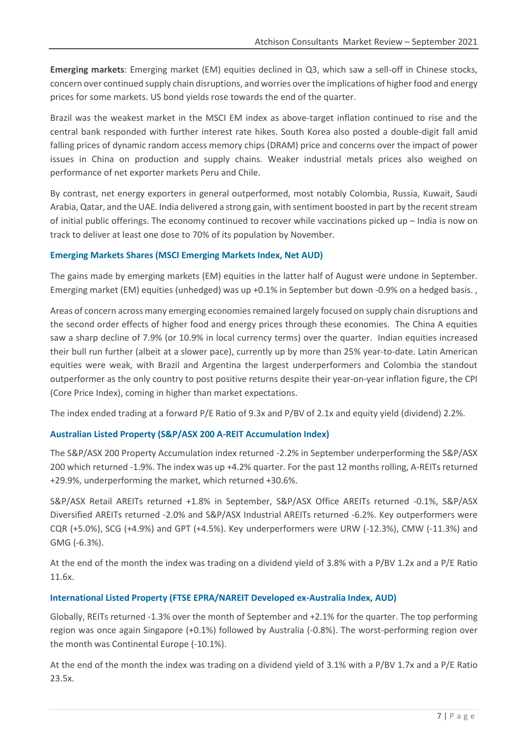**Emerging markets**: Emerging market (EM) equities declined in Q3, which saw a sell-off in Chinese stocks, concern over continued supply chain disruptions, and worries over the implications of higher food and energy prices for some markets. US bond yields rose towards the end of the quarter.

Brazil was the weakest market in the MSCI EM index as above-target inflation continued to rise and the central bank responded with further interest rate hikes. South Korea also posted a double-digit fall amid falling prices of dynamic random access memory chips (DRAM) price and concerns over the impact of power issues in China on production and supply chains. Weaker industrial metals prices also weighed on performance of net exporter markets Peru and Chile.

By contrast, net energy exporters in general outperformed, most notably Colombia, Russia, Kuwait, Saudi Arabia, Qatar, and the UAE. India delivered a strong gain, with sentiment boosted in part by the recent stream of initial public offerings. The economy continued to recover while vaccinations picked up – India is now on track to deliver at least one dose to 70% of its population by November.

#### **Emerging Markets Shares (MSCI Emerging Markets Index, Net AUD)**

The gains made by emerging markets (EM) equities in the latter half of August were undone in September. Emerging market (EM) equities (unhedged) was up +0.1% in September but down -0.9% on a hedged basis. ,

Areas of concern across many emerging economies remained largely focused on supply chain disruptions and the second order effects of higher food and energy prices through these economies. The China A equities saw a sharp decline of 7.9% (or 10.9% in local currency terms) over the quarter. Indian equities increased their bull run further (albeit at a slower pace), currently up by more than 25% year-to-date. Latin American equities were weak, with Brazil and Argentina the largest underperformers and Colombia the standout outperformer as the only country to post positive returns despite their year-on-year inflation figure, the CPI (Core Price Index), coming in higher than market expectations.

The index ended trading at a forward P/E Ratio of 9.3x and P/BV of 2.1x and equity yield (dividend) 2.2%.

#### **Australian Listed Property (S&P/ASX 200 A-REIT Accumulation Index)**

The S&P/ASX 200 Property Accumulation index returned -2.2% in September underperforming the S&P/ASX 200 which returned -1.9%. The index was up +4.2% quarter. For the past 12 months rolling, A-REITs returned +29.9%, underperforming the market, which returned +30.6%.

S&P/ASX Retail AREITs returned +1.8% in September, S&P/ASX Office AREITs returned -0.1%, S&P/ASX Diversified AREITs returned -2.0% and S&P/ASX Industrial AREITs returned -6.2%. Key outperformers were CQR (+5.0%), SCG (+4.9%) and GPT (+4.5%). Key underperformers were URW (-12.3%), CMW (-11.3%) and GMG (-6.3%).

At the end of the month the index was trading on a dividend yield of 3.8% with a P/BV 1.2x and a P/E Ratio 11.6x.

#### **International Listed Property (FTSE EPRA/NAREIT Developed ex-Australia Index, AUD)**

Globally, REITs returned -1.3% over the month of September and +2.1% for the quarter. The top performing region was once again Singapore (+0.1%) followed by Australia (-0.8%). The worst-performing region over the month was Continental Europe (-10.1%).

At the end of the month the index was trading on a dividend yield of 3.1% with a P/BV 1.7x and a P/E Ratio 23.5x.